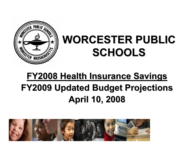

# **WORCESTER PUBLIC WORCESTER PUBLIC SCHOOLS SCHOOLS**

# **FY2008 Health Insurance Savings FY2008 Health Insurance Savings FY2009 Updated Budget Projections FY2009 Updated Budget Projections April 10, 2008 April 10, 2008**

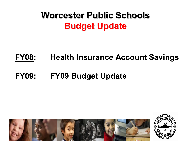### **Worcester Public Schools Worcester Public SchoolsBudget Update Budget Update**

### **FY08: Health Insurance Account Savings**

### **FY09: FY09 Budget Update**



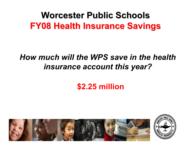### *How much will the WPS save in the health insurance account this year?*

### **\$2.25 million**



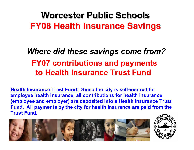### *Where did these savings come from?* **FY07 contributions and payments to Health Insurance Trust Fund**

**Health Insurance Trust Fund: Since the city is self-insured for employee health insurance, all contributions for health insurance (employee and employer) are deposited into a Health Insurance Trust Fund. All payments by the city for health insurance are paid from the Trust Fund.**



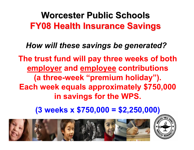*How will these savings be generated?* **The trust fund will pay three weeks of both employer and employee contributions (a three-week "premium holiday"). Each week equals approximately \$750,000 in savings for the WPS.**

**(3 weeks x \$750,000 = \$2,250,000)**



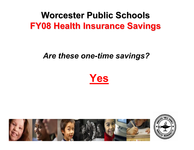#### *Are these one-time savings?*





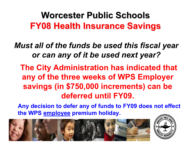*Must all of the funds be used this fiscal year or can any of it be used next year?*

**The City Administration has indicated that any of the three weeks of WPS Employer savings (in \$750,000 increments) can be deferred until FY09.**

**Any decision to defer any of funds to FY09 does not effect the WPS employee premium holiday.**



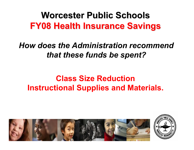*How does the Administration recommend that these funds be spent?*

### **Class Size Reduction Instructional Supplies and Materials.**



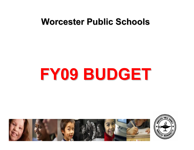### **Worcester Public Schools Worcester Public Schools**

# **FY09 BUDGET FY09 BUDGET**



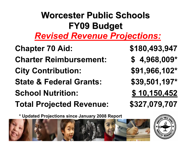### **Worcester Public Schools Worcester Public SchoolsFY09 Budget FY09 Budget** *Revised Revenue Projections:*

**Total Projected Revenue: \$327,079,707 School Nutrition: \$ 10,150,452 State & Federal Grants: \$39,501,197\* City Contribution: \$91,966,102\* Charter Reimbursement: \$ 4,968,009\* Chapter 70 Aid: \$180,493,947**

**\* Updated Projections since January 2008 Report**



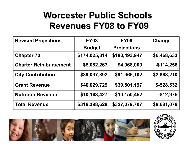### **Worcester Public Schools Worcester Public SchoolsRevenues FY08 to FY09 Revenues FY08 to FY09**

| <b>Revised Projections</b>   | <b>FY08</b>   | <b>FY09</b>        | <b>Change</b> |
|------------------------------|---------------|--------------------|---------------|
|                              | <b>Budget</b> | <b>Projections</b> |               |
| <b>Chapter 70</b>            | \$174,025,314 | \$180,493,947      | \$6,468,633   |
| <b>Charter Reimbursement</b> | \$5,082,267   | \$4,968,009        | $-$114,258$   |
| <b>City Contribution</b>     | \$89,097,892  | \$91,966,102       | \$2,868,210   |
| <b>Grant Revenue</b>         | \$40,029,729  | \$39,501,197       | $$-528,532$   |
| <b>Nutrition Revenue</b>     | \$10,163,427  | \$10,150,452       | $-$12,975$    |
| <b>Total Revenue</b>         | \$318,398,629 | \$327,079,707      | \$8,681,078   |



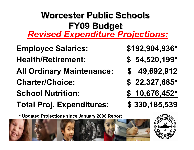# **Worcester Public Schools Worcester Public SchoolsFY09 Budget FY09 Budget** *Revised Expenditure Projections:*

- **All Ordinary Maintenance: \$ 49,692,912 Health/Retirement: \$ 54,520,199\* Employee Salaries: \$192,904,936\***
- **Charter/Choice: \$ 22,327,685\***
- **School Nutrition: \$ 10,676,452\***
- **Total Proj. Expenditures: \$ 330,185,539**
- 
- 
- 
- 
- 
- 

**\* Updated Projections since January 2008 Report**



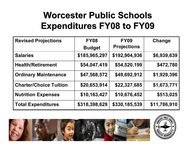### **Worcester Public Schools Worcester Public SchoolsExpenditures FY08 to FY09 Expenditures FY08 to FY09**

| <b>Revised Projections</b>    | <b>FY08</b>   | <b>FY09</b>        | Change       |
|-------------------------------|---------------|--------------------|--------------|
|                               | <b>Budget</b> | <b>Projections</b> |              |
| <b>Salaries</b>               | \$185,965,297 | \$192,904,936      | \$6,939,639  |
| <b>Health/Retirement</b>      | \$54,047,419  | \$54,520,199       | \$472,780    |
| <b>Ordinary Maintenance</b>   | \$47,568,572  | \$49,692,912       | \$1,929,396  |
| <b>Charter/Choice Tuition</b> | \$20,653,914  | \$22,327,685       | \$1,673,771  |
| <b>Nutrition Expenses</b>     | \$10,163,427  | \$10,676,452       | \$513,025    |
| <b>Total Expenditures</b>     | \$318,398,629 | \$330,185,539      | \$11,786,910 |



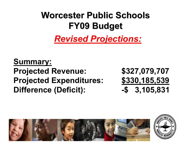**Worcester Public Schools Worcester Public SchoolsFY09 Budget FY09 Budget** *Revised Projections:*

**Summary: Projected Revenue: \$327,079,707 Projected Expenditures: \$330,185,539 Difference (Deficit): -\$ 3,105,831**



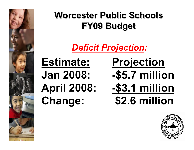

### *Deficit Projection :*

**Estimate: Projection**

# **Jan 2008: -\$5.7 million April 2008: -\$3.1 million Change: \$2.6 million**

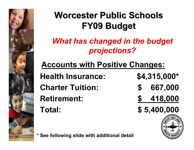

### *What has changed in the budget projections?*

# **Accounts with Positive Changes:**

**Retirement: \$ 418,000 Charter Tuition: \$ 667,000 Health Insurance: \$4,315,000\***

**Total: \$ 5,400,000**



**\* See following slide with additional detail**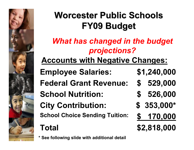

### *What has changed in the budget projections?*

### **Accounts with Negative Changes:**

**School Choice Sending Tuition: \$ 170,000 City Contribution: \$ 353,000\* School Nutrition: \$ 526,000 Federal Grant Revenue: \$ 529,000 Employee Salaries: \$1,240,000**

# **Total \$2,818,000**

**\* See following slide with additional detail**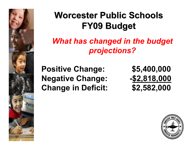

### *What has changed in the budget projections?*

**Positive Change: \$5,400,000 Negative Change: -\$2,818,000 Change in Deficit: \$2,582,000**

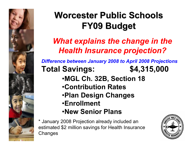

### *What explains the change in the Health Insurance projection?*

*Difference between January 2008 to April 2008 Projections* **Total Savings: \$4,315,000**

- •**MGL Ch. 32B, Section 18**
- •**Contribution Rates**
- •**Plan Design Changes**
- •**Enrollment**
- •**New Senior Plans**

\* January 2008 Projection already included an estimated \$2 million savings for Health Insurance **Changes** 

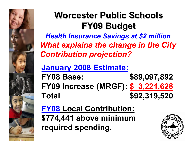

*Health Insurance Savings at \$2 million What explains the change in the City Contribution projection?*

**January 2008 Estimate:**

**FY08 Base: \$89,097,892 FY09 Increase (MRGF): \$ 3,221,628 Total \$92,319,520**

**FY08 Local Contribution: \$774,441 above minimum required spending.**

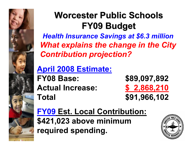

*Health Insurance Savings at \$6.3 million What explains the change in the City Contribution projection?*

### **April 2008 Estimate:**

**FY08 Base: \$89,097,892 Actual Increase: \$ 2,868,210 Total \$91,966,102**

**FY09 Est. Local Contribution: \$421,023 above minimum required spending.**

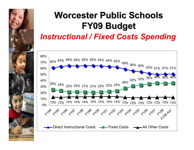

### **Worcester Public Schools Worcester Public SchoolsFY09 Budget FY09 Budget** *Instructional / Fixed Costs Spending*

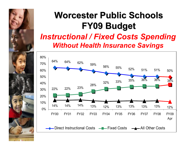

#### *Instructional / Fixed Costs Spending Without Health Insurance Savings*

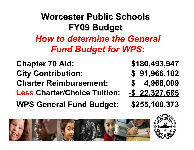### **Worcester Public Schools Worcester Public SchoolsFY09 Budget FY09 Budget** *How to determine the General Fund Budget for WPS:*

**WPS General Fund Budget: \$255,100,373 Less Charter/Choice Tuition: -\$ 22,327,685 Charter Reimbursement: \$ 4,968,009 City Contribution: \$ 91,966,102 Chapter 70 Aid: \$180,493,947**



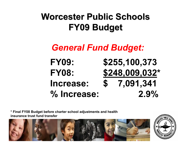### *General Fund Budget:*

**FY09: \$255,100,373 FY08: \$248,009,032 \*Increase: \$ 7,091,341 % Increase: 2.9%**

**\* Final FY08 Budget before charter school adjustments and health insurance trust fund transfer**



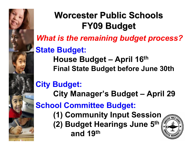

*What is the remaining budget process?*

### **State Budget:**

**House Budget – April 16th Final State Budget before June 30th**

### **City Budget:**

**City Manager's Budget – April 29**

**School Committee Budget:**

**(1) Community Input Session (2) Budget Hearings June 5th and 19th**

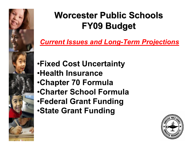

*Current Issues and Long-Term Projections*

- •**Fixed Cost Uncertainty**
- •**Health Insurance**
- •**Chapter 70 Formula**
- •**Charter School Formula**
- •**Federal Grant Funding**
- •**State Grant Funding**